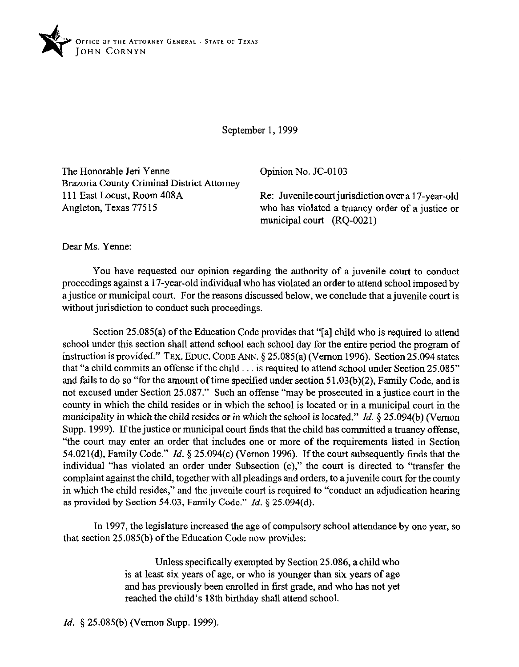

September 1, 1999

The Honorable Jeri Yenne Brazoria County Criminal District Attorney 111 East Locust, Room 408A Angleton, Texas 775 15

Opinion No. JC-0103

Re: Juvenile court jurisdiction over a 17-year-old who has violated a truancy order of a justice or municipal court (RQ-0021)

Dear Ms. Yenne:

You have requested our opinion regarding the authority of a juvenile court to conduct proceedings against a 17-year-old individual who has violated an order to attend school imposed by a justice or municipal court. For the reasons discussed below, we conclude that a juvenile court is without jurisdiction to conduct such proceedings.

Section 25.085(a) of the Education Code provides that "[a] child who is required to attend school under this section shall attend school each school day for the entire period the program of instruction is provided." TEX. EDUC. CODE ANN. § 25.085(a) (Vernon 1996). Section 25.094 states that "a child commits an offense if the child  $\ldots$  is required to attend school under Section 25.085" and fails to do so "for the amount of time specified under section 51.03(b)(2), Family Code, and is not excused under Section 25.087." Such an offense "may be prosecuted in a justice court in the county in which the child resides or in which the school is located or in a municipal court in the municipality in which the child resides or in which the school is located." Id.  $\S 25.094(b)$  (Vernon Supp. 1999). If the justice or municipal court finds that the child has committed a truancy offense, "the court may enter an order that includes one or more of the requirements listed in Section 54.021(d), Family Code." *Id.* \$25.094(c) (Vernon 1996). If the court subsequently finds that the individual "has violated an order under Subsection (c)," the court is directed to "transfer the complaint against the child, together with all pleadings and orders, to a juvenile court for the county in which the child resides," and the juvenile court is required to "conduct an adjudication hearing as provided by Section 54.03, Family Code." *Id. 5* 25.094(d).

In 1997, the legislature increased the age of compulsory school attendance by one year, so that section 25.085(b) of the Education Code now provides:

> Unless specifically exempted by Section 25.086, a child who is at least six years of age, or who is younger than six years of age and has previously been enrolled in first grade, and who has not yet reached the child's 18th birthday shall attend school.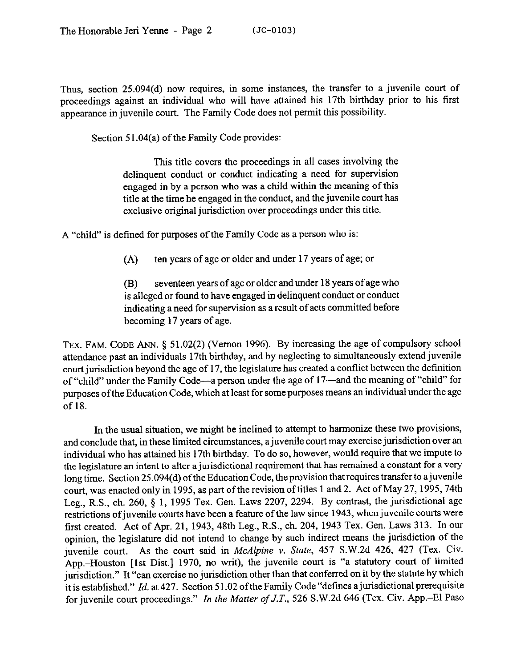Thus, section 25.094(d) now requires, in some instances, the transfer to a juvenile court of proceedings against an individual who will have attained his 17th birthday prior to his first appearance in juvenile court. The Family Code does not permit this possibility.

Section 51.04(a) of the Family Code provides:

This title covers the proceedings in all cases involving the delinquent conduct or conduct indicating a need for supervision engaged in by a person who was a child within the meaning of this title at the time he engaged in the conduct, and the juvenile court has exclusive original jurisdiction over proceedings under this title.

A "child" is defined for purposes of the Family Code as a person who is:

(A) ten years of age or older and under 17 years of age; or

03 seventeen years of age or older and under 18 years of age who is alleged or found to have engaged in delinquent conduct or conduct indicating a need for supervision as a result of acts committed before becoming 17 years of age.

TEX. FAM. CODE ANN. § 51.02(2) (Vernon 1996). By increasing the age of compulsory school attendance past an individuals 17th birthday, and by neglecting to simultaneously extend juvenile court jurisdiction beyond the age of 17, the legislature has created a conflict between the definition of "child" under the Family Code-a person under the age of 17-and the meaning of "child" for purposes of the Education Code, which at least for some purposes means an individual under the age of 18.

In the usual situation, we might be inclined to attempt to harmonize these two provisions, and conclude that, in these limited circumstances, a juvenile court may exercise jurisdiction over an individual who has attained his 17th birthday. To do so, however, would require that we impute to the legislature an intent to alter a jurisdictional requirement that has remained a constant for a very long time. Section 25.094(d) of the Education Code, the provision that requires transfer to a juvenile court, was enacted only in 1995, as part of the revision of titles 1 and 2. Act of May 27, 1995,74th Leg., R.S., ch. 260, \$ 1, 1995 Tex. Gen. Laws 2207, 2294. By contrast, the jurisdictional age restrictions of juvenile courts have been a feature of the law since 1943, when juvenile courts were first created. Act of Apr. 21, 1943, 48th Leg., R.S., ch. 204, 1943 Tex. Gen. Laws 313. In our opinion, the legislature did not intend to change by such indirect means the jurisdiction of the juvenile court. As the court said in *McAlpine v. State, 457* S.W.2d 426, 427 (Tex. Civ. App.-Houston [lst Dist.] 1970, no writ), the juvenile court is "a statutory court of limited jurisdiction." It "can exercise no jurisdiction other than that conferred on it by the statute by which it is established." *Id.* at 427. Section 51.02 of the Family Code "defines a jurisdictional prerequisite for juvenile court proceedings." *In the Matter of J.T.,* 526 S.W.2d 646 (Tex. Civ. App.-El Paso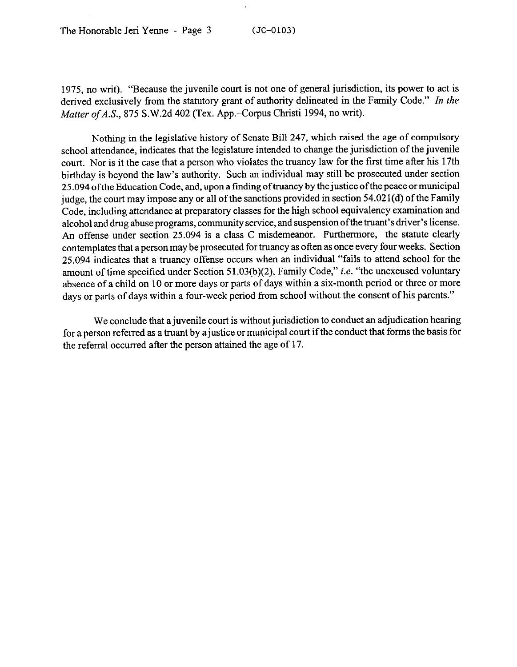The Honorable Jeri Yenne - Page 3 *(JC-0103)* 

1975, no writ). "Because the juvenile court is not one of general jurisdiction, its power to act is derived exclusively from the statutory grant of authority delineated in the Family Code." In *the Matter of A.S., 875 S.W.2d 402 (Tex. App.–Corpus Christi 1994, no writ).* 

Nothing in the legislative history of Senate Bill 247, which raised the age of compulsory school attendance, indicates that the legislature intended to change the jurisdiction of the juvenile court. Nor is it the case that a person who violates the truancy law for the first time after his 17th birthday is beyond the law's authority. Such an individual may still be prosecuted under section 25.094 of the Education Code, and, upon a finding of truancy by the justice of the peace or municipal judge, the court may impose any or all of the sanctions provided in section 54.021(d) of the Family Code, including attendance at preparatory classes for the high school equivalency examination and alcohol and drug abuse programs, community service, and suspensionofthe truant's driver's license. An offense under section 25.094 is a class C misdemeanor. Furthermore, the statute clearly contemplates that a person may be prosecuted for truancy as often as once every four weeks. Section 25.094 indicates that a truancy offense occurs when an individual "fails to attend school for the amount of time specified under Section 51,03(b)(2), Family Code," *i.e.* "the unexcused voluntary absence of a child on 10 or more days or parts of days within a six-month period or three or more days or parts of days within a four-week period from school without the consent of his parents."

We conclude that a juvenile court is without jurisdiction to conduct an adjudication hearing for a person referred as a truant by a justice or municipal court if the conduct that forms the basis for the referral occurred after the person attained the age of 17.